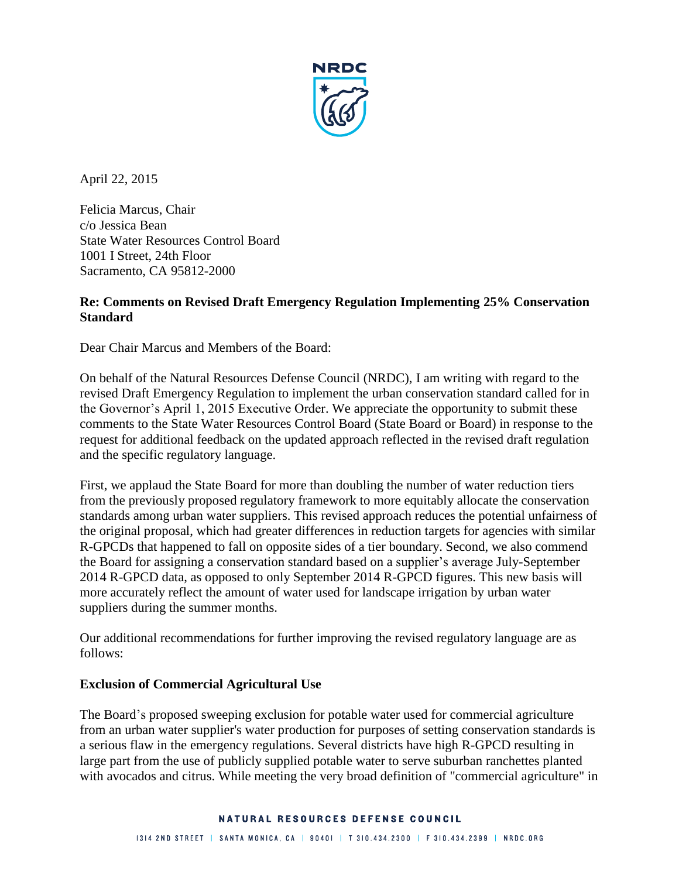

April 22, 2015

Felicia Marcus, Chair c/o Jessica Bean State Water Resources Control Board 1001 I Street, 24th Floor Sacramento, CA 95812-2000

# **Re: Comments on Revised Draft Emergency Regulation Implementing 25% Conservation Standard**

Dear Chair Marcus and Members of the Board:

On behalf of the Natural Resources Defense Council (NRDC), I am writing with regard to the revised Draft Emergency Regulation to implement the urban conservation standard called for in the Governor's April 1, 2015 Executive Order. We appreciate the opportunity to submit these comments to the State Water Resources Control Board (State Board or Board) in response to the request for additional feedback on the updated approach reflected in the revised draft regulation and the specific regulatory language.

First, we applaud the State Board for more than doubling the number of water reduction tiers from the previously proposed regulatory framework to more equitably allocate the conservation standards among urban water suppliers. This revised approach reduces the potential unfairness of the original proposal, which had greater differences in reduction targets for agencies with similar R-GPCDs that happened to fall on opposite sides of a tier boundary. Second, we also commend the Board for assigning a conservation standard based on a supplier's average July-September 2014 R-GPCD data, as opposed to only September 2014 R-GPCD figures. This new basis will more accurately reflect the amount of water used for landscape irrigation by urban water suppliers during the summer months.

Our additional recommendations for further improving the revised regulatory language are as follows:

#### **Exclusion of Commercial Agricultural Use**

The Board's proposed sweeping exclusion for potable water used for commercial agriculture from an urban water supplier's water production for purposes of setting conservation standards is a serious flaw in the emergency regulations. Several districts have high R-GPCD resulting in large part from the use of publicly supplied potable water to serve suburban ranchettes planted with avocados and citrus. While meeting the very broad definition of "commercial agriculture" in

#### NATURAL RESOURCES DEFENSE COUNCIL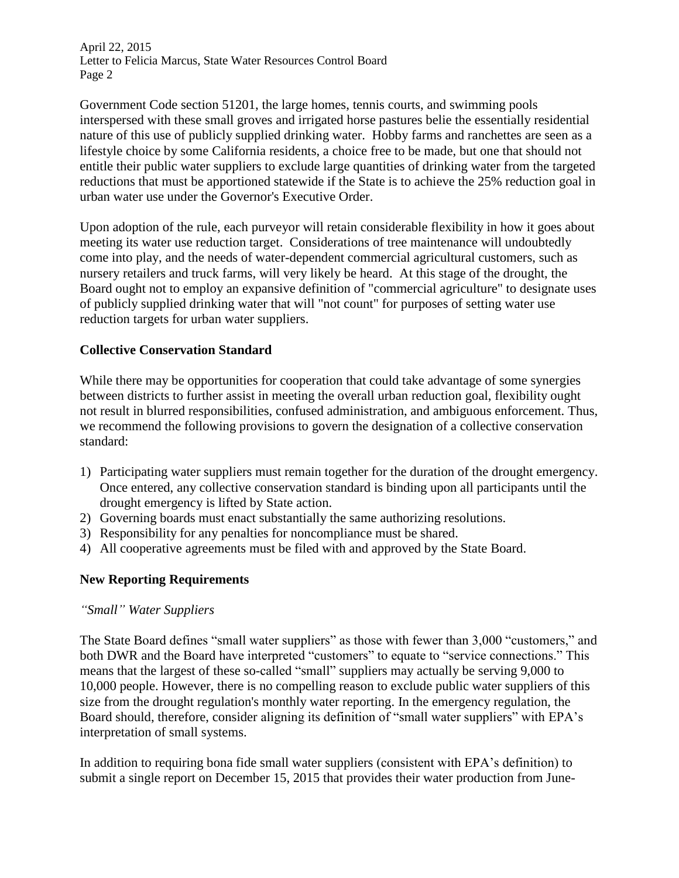April 22, 2015 Letter to Felicia Marcus, State Water Resources Control Board Page 2

Government Code section 51201, the large homes, tennis courts, and swimming pools interspersed with these small groves and irrigated horse pastures belie the essentially residential nature of this use of publicly supplied drinking water. Hobby farms and ranchettes are seen as a lifestyle choice by some California residents, a choice free to be made, but one that should not entitle their public water suppliers to exclude large quantities of drinking water from the targeted reductions that must be apportioned statewide if the State is to achieve the 25% reduction goal in urban water use under the Governor's Executive Order.

Upon adoption of the rule, each purveyor will retain considerable flexibility in how it goes about meeting its water use reduction target. Considerations of tree maintenance will undoubtedly come into play, and the needs of water-dependent commercial agricultural customers, such as nursery retailers and truck farms, will very likely be heard. At this stage of the drought, the Board ought not to employ an expansive definition of "commercial agriculture" to designate uses of publicly supplied drinking water that will "not count" for purposes of setting water use reduction targets for urban water suppliers.

## **Collective Conservation Standard**

While there may be opportunities for cooperation that could take advantage of some synergies between districts to further assist in meeting the overall urban reduction goal, flexibility ought not result in blurred responsibilities, confused administration, and ambiguous enforcement. Thus, we recommend the following provisions to govern the designation of a collective conservation standard:

- 1) Participating water suppliers must remain together for the duration of the drought emergency. Once entered, any collective conservation standard is binding upon all participants until the drought emergency is lifted by State action.
- 2) Governing boards must enact substantially the same authorizing resolutions.
- 3) Responsibility for any penalties for noncompliance must be shared.
- 4) All cooperative agreements must be filed with and approved by the State Board.

# **New Reporting Requirements**

#### *"Small" Water Suppliers*

The State Board defines "small water suppliers" as those with fewer than 3,000 "customers," and both DWR and the Board have interpreted "customers" to equate to "service connections." This means that the largest of these so-called "small" suppliers may actually be serving 9,000 to 10,000 people. However, there is no compelling reason to exclude public water suppliers of this size from the drought regulation's monthly water reporting. In the emergency regulation, the Board should, therefore, consider aligning its definition of "small water suppliers" with EPA's interpretation of small systems.

In addition to requiring bona fide small water suppliers (consistent with EPA's definition) to submit a single report on December 15, 2015 that provides their water production from June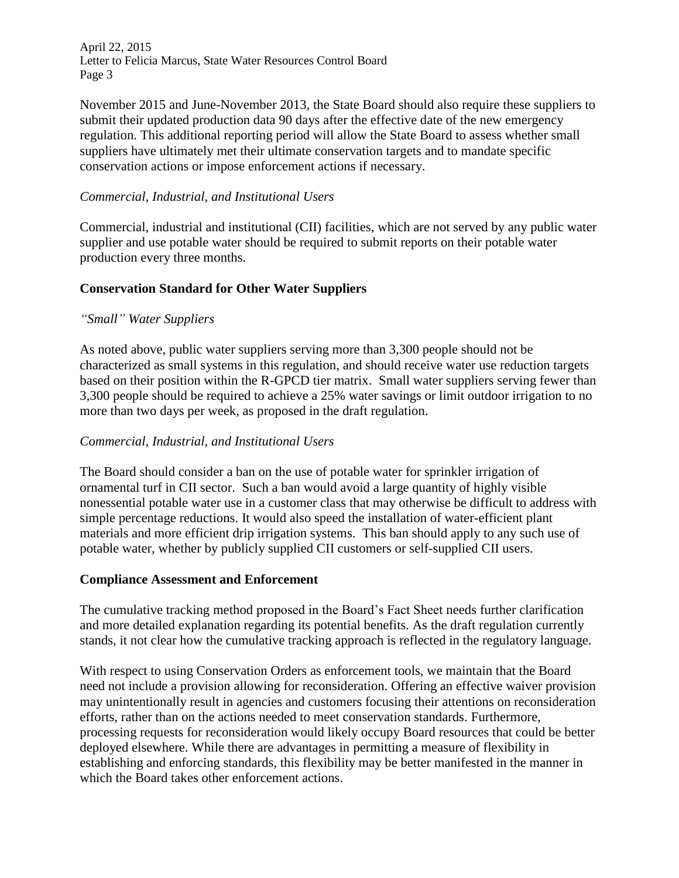April 22, 2015 Letter to Felicia Marcus, State Water Resources Control Board Page 3

November 2015 and June-November 2013, the State Board should also require these suppliers to submit their updated production data 90 days after the effective date of the new emergency regulation. This additional reporting period will allow the State Board to assess whether small suppliers have ultimately met their ultimate conservation targets and to mandate specific conservation actions or impose enforcement actions if necessary.

## *Commercial, Industrial, and Institutional Users*

Commercial, industrial and institutional (CII) facilities, which are not served by any public water supplier and use potable water should be required to submit reports on their potable water production every three months.

# **Conservation Standard for Other Water Suppliers**

## *"Small" Water Suppliers*

As noted above, public water suppliers serving more than 3,300 people should not be characterized as small systems in this regulation, and should receive water use reduction targets based on their position within the R-GPCD tier matrix. Small water suppliers serving fewer than 3,300 people should be required to achieve a 25% water savings or limit outdoor irrigation to no more than two days per week, as proposed in the draft regulation.

#### *Commercial, Industrial, and Institutional Users*

The Board should consider a ban on the use of potable water for sprinkler irrigation of ornamental turf in CII sector. Such a ban would avoid a large quantity of highly visible nonessential potable water use in a customer class that may otherwise be difficult to address with simple percentage reductions. It would also speed the installation of water-efficient plant materials and more efficient drip irrigation systems. This ban should apply to any such use of potable water, whether by publicly supplied CII customers or self-supplied CII users.

#### **Compliance Assessment and Enforcement**

The cumulative tracking method proposed in the Board's Fact Sheet needs further clarification and more detailed explanation regarding its potential benefits. As the draft regulation currently stands, it not clear how the cumulative tracking approach is reflected in the regulatory language.

With respect to using Conservation Orders as enforcement tools, we maintain that the Board need not include a provision allowing for reconsideration. Offering an effective waiver provision may unintentionally result in agencies and customers focusing their attentions on reconsideration efforts, rather than on the actions needed to meet conservation standards. Furthermore, processing requests for reconsideration would likely occupy Board resources that could be better deployed elsewhere. While there are advantages in permitting a measure of flexibility in establishing and enforcing standards, this flexibility may be better manifested in the manner in which the Board takes other enforcement actions.